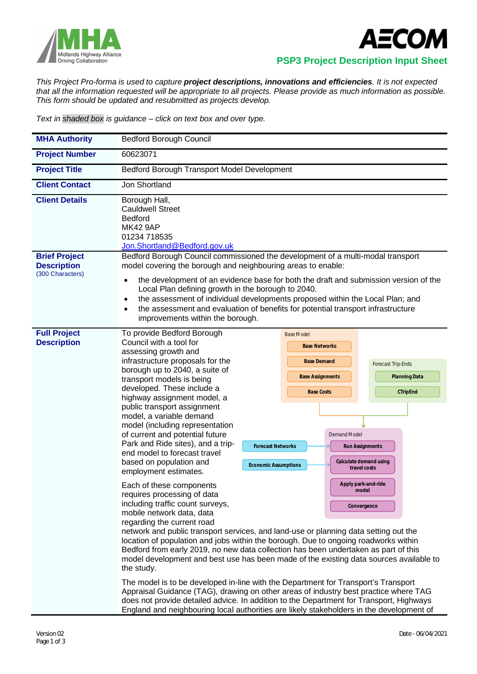



 **PSP3 Project Description Input Sheet**

*This Project Pro-forma is used to capture project descriptions, innovations and efficiencies. It is not expected that all the information requested will be appropriate to all projects. Please provide as much information as possible. This form should be updated and resubmitted as projects develop.*

*Text in shaded box is guidance – click on text box and over type.*

| <b>MHA Authority</b>                                           | <b>Bedford Borough Council</b>                                                                                                                                                                                                                                                                                                                                                                                                                                                                                                                                                                                                                                                                                                                                                                                                                                                                                                                                                                                                                                                                                                                                                                                                                                                                                                                                                                                                                                                                                                                                                                                                                                                                                                                                                                         |  |  |  |  |  |
|----------------------------------------------------------------|--------------------------------------------------------------------------------------------------------------------------------------------------------------------------------------------------------------------------------------------------------------------------------------------------------------------------------------------------------------------------------------------------------------------------------------------------------------------------------------------------------------------------------------------------------------------------------------------------------------------------------------------------------------------------------------------------------------------------------------------------------------------------------------------------------------------------------------------------------------------------------------------------------------------------------------------------------------------------------------------------------------------------------------------------------------------------------------------------------------------------------------------------------------------------------------------------------------------------------------------------------------------------------------------------------------------------------------------------------------------------------------------------------------------------------------------------------------------------------------------------------------------------------------------------------------------------------------------------------------------------------------------------------------------------------------------------------------------------------------------------------------------------------------------------------|--|--|--|--|--|
| <b>Project Number</b>                                          | 60623071                                                                                                                                                                                                                                                                                                                                                                                                                                                                                                                                                                                                                                                                                                                                                                                                                                                                                                                                                                                                                                                                                                                                                                                                                                                                                                                                                                                                                                                                                                                                                                                                                                                                                                                                                                                               |  |  |  |  |  |
| <b>Project Title</b>                                           | Bedford Borough Transport Model Development                                                                                                                                                                                                                                                                                                                                                                                                                                                                                                                                                                                                                                                                                                                                                                                                                                                                                                                                                                                                                                                                                                                                                                                                                                                                                                                                                                                                                                                                                                                                                                                                                                                                                                                                                            |  |  |  |  |  |
| <b>Client Contact</b>                                          | Jon Shortland                                                                                                                                                                                                                                                                                                                                                                                                                                                                                                                                                                                                                                                                                                                                                                                                                                                                                                                                                                                                                                                                                                                                                                                                                                                                                                                                                                                                                                                                                                                                                                                                                                                                                                                                                                                          |  |  |  |  |  |
| <b>Client Details</b>                                          | Borough Hall,<br><b>Cauldwell Street</b><br><b>Bedford</b><br><b>MK42 9AP</b><br>01234 718535<br>Jon.Shortland@Bedford.gov.uk                                                                                                                                                                                                                                                                                                                                                                                                                                                                                                                                                                                                                                                                                                                                                                                                                                                                                                                                                                                                                                                                                                                                                                                                                                                                                                                                                                                                                                                                                                                                                                                                                                                                          |  |  |  |  |  |
| <b>Brief Project</b><br><b>Description</b><br>(300 Characters) | Bedford Borough Council commissioned the development of a multi-modal transport<br>model covering the borough and neighbouring areas to enable:<br>the development of an evidence base for both the draft and submission version of the<br>$\bullet$<br>Local Plan defining growth in the borough to 2040.<br>the assessment of individual developments proposed within the Local Plan; and<br>٠<br>the assessment and evaluation of benefits for potential transport infrastructure<br>improvements within the borough.                                                                                                                                                                                                                                                                                                                                                                                                                                                                                                                                                                                                                                                                                                                                                                                                                                                                                                                                                                                                                                                                                                                                                                                                                                                                               |  |  |  |  |  |
| <b>Full Project</b><br><b>Description</b>                      | To provide Bedford Borough<br><b>Base Model</b><br>Council with a tool for<br><b>Base Networks</b><br>assessing growth and<br>infrastructure proposals for the<br><b>Base Demand</b><br>Forecast Trip-Ends<br>borough up to 2040, a suite of<br><b>Base Assignments</b><br><b>Planning Data</b><br>transport models is being<br>developed. These include a<br>CTripEnd<br><b>Base Costs</b><br>highway assignment model, a<br>public transport assignment<br>model, a variable demand<br>model (including representation<br>of current and potential future<br><b>Demand Model</b><br>Park and Ride sites), and a trip-<br><b>Forecast Networks</b><br><b>Run Assignments</b><br>end model to forecast travel<br>based on population and<br>Calculate demand using<br><b>Economic Assumptions</b><br>travel costs<br>employment estimates.<br>Apply park-and-ride<br>Each of these components<br>model<br>requires processing of data<br>including traffic count surveys,<br>Convergence<br>mobile network data, data<br>regarding the current road<br>network and public transport services, and land-use or planning data setting out the<br>location of population and jobs within the borough. Due to ongoing roadworks within<br>Bedford from early 2019, no new data collection has been undertaken as part of this<br>model development and best use has been made of the existing data sources available to<br>the study.<br>The model is to be developed in-line with the Department for Transport's Transport<br>Appraisal Guidance (TAG), drawing on other areas of industry best practice where TAG<br>does not provide detailed advice. In addition to the Department for Transport, Highways<br>England and neighbouring local authorities are likely stakeholders in the development of |  |  |  |  |  |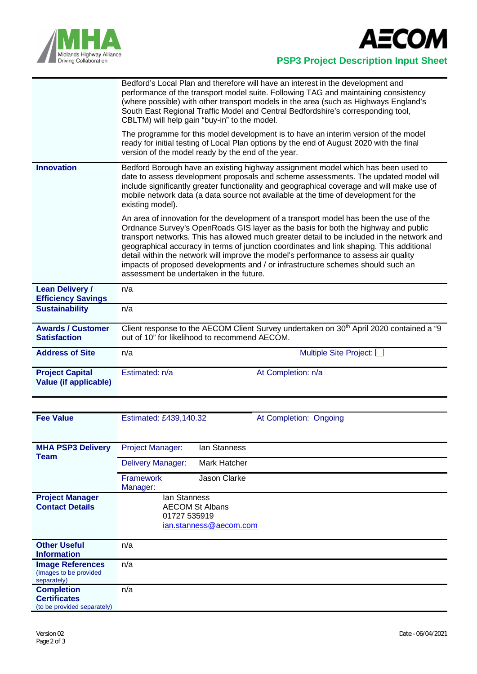

Î.

L

L

L



## **PSP3 Project Description Input Sheet**

|                                                     | Bedford's Local Plan and therefore will have an interest in the development and<br>performance of the transport model suite. Following TAG and maintaining consistency<br>(where possible) with other transport models in the area (such as Highways England's<br>South East Regional Traffic Model and Central Bedfordshire's corresponding tool,<br>CBLTM) will help gain "buy-in" to the model.                                                                                                                                                                                           |  |  |  |  |
|-----------------------------------------------------|----------------------------------------------------------------------------------------------------------------------------------------------------------------------------------------------------------------------------------------------------------------------------------------------------------------------------------------------------------------------------------------------------------------------------------------------------------------------------------------------------------------------------------------------------------------------------------------------|--|--|--|--|
|                                                     | The programme for this model development is to have an interim version of the model<br>ready for initial testing of Local Plan options by the end of August 2020 with the final<br>version of the model ready by the end of the year.                                                                                                                                                                                                                                                                                                                                                        |  |  |  |  |
| <b>Innovation</b>                                   | Bedford Borough have an existing highway assignment model which has been used to<br>date to assess development proposals and scheme assessments. The updated model will<br>include significantly greater functionality and geographical coverage and will make use of<br>mobile network data (a data source not available at the time of development for the<br>existing model).                                                                                                                                                                                                             |  |  |  |  |
|                                                     | An area of innovation for the development of a transport model has been the use of the<br>Ordnance Survey's OpenRoads GIS layer as the basis for both the highway and public<br>transport networks. This has allowed much greater detail to be included in the network and<br>geographical accuracy in terms of junction coordinates and link shaping. This additional<br>detail within the network will improve the model's performance to assess air quality<br>impacts of proposed developments and / or infrastructure schemes should such an<br>assessment be undertaken in the future. |  |  |  |  |
| <b>Lean Delivery /</b><br><b>Efficiency Savings</b> | n/a                                                                                                                                                                                                                                                                                                                                                                                                                                                                                                                                                                                          |  |  |  |  |
| <b>Sustainability</b>                               | n/a                                                                                                                                                                                                                                                                                                                                                                                                                                                                                                                                                                                          |  |  |  |  |
| <b>Awards / Customer</b><br><b>Satisfaction</b>     | Client response to the AECOM Client Survey undertaken on 30 <sup>th</sup> April 2020 contained a "9<br>out of 10" for likelihood to recommend AECOM.                                                                                                                                                                                                                                                                                                                                                                                                                                         |  |  |  |  |
| <b>Address of Site</b>                              | Multiple Site Project:<br>n/a                                                                                                                                                                                                                                                                                                                                                                                                                                                                                                                                                                |  |  |  |  |
| <b>Project Capital</b><br>Value (if applicable)     | Estimated: n/a<br>At Completion: n/a                                                                                                                                                                                                                                                                                                                                                                                                                                                                                                                                                         |  |  |  |  |

| <b>Fee Value</b>                                                        | Estimated: £439,140.32<br>At Completion: Ongoing                                 |  |  |  |  |
|-------------------------------------------------------------------------|----------------------------------------------------------------------------------|--|--|--|--|
| <b>MHA PSP3 Delivery</b><br>Team                                        | lan Stanness<br><b>Project Manager:</b>                                          |  |  |  |  |
|                                                                         | <b>Delivery Manager:</b><br>Mark Hatcher                                         |  |  |  |  |
|                                                                         | <b>Jason Clarke</b><br><b>Framework</b><br>Manager:                              |  |  |  |  |
| <b>Project Manager</b><br><b>Contact Details</b>                        | lan Stanness<br><b>AECOM St Albans</b><br>01727 535919<br>ian.stanness@aecom.com |  |  |  |  |
| <b>Other Useful</b><br><b>Information</b>                               | n/a                                                                              |  |  |  |  |
| <b>Image References</b><br>(Images to be provided<br>separately)        | n/a                                                                              |  |  |  |  |
| <b>Completion</b><br><b>Certificates</b><br>(to be provided separately) | n/a                                                                              |  |  |  |  |